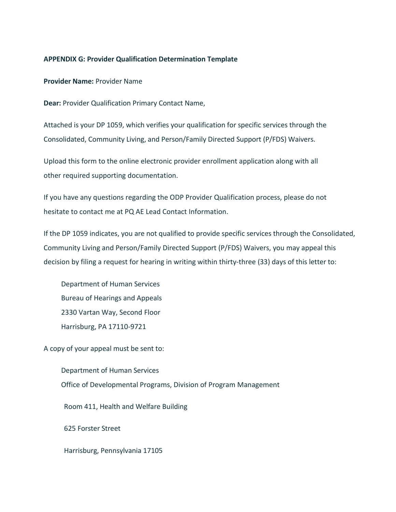## **APPENDIX G: Provider Qualification Determination Template**

**Provider Name:** Provider Name

**Dear:** Provider Qualification Primary Contact Name,

Attached is your DP 1059, which verifies your qualification for specific services through the Consolidated, Community Living, and Person/Family Directed Support (P/FDS) Waivers.

Upload this form to the online electronic provider enrollment application along with all other required supporting documentation.

If you have any questions regarding the ODP Provider Qualification process, please do not hesitate to contact me at PQ AE Lead Contact Information.

If the DP 1059 indicates, you are not qualified to provide specific services through the Consolidated, Community Living and Person/Family Directed Support (P/FDS) Waivers, you may appeal this decision by filing a request for hearing in writing within thirty-three (33) days of this letter to:

Department of Human Services Bureau of Hearings and Appeals 2330 Vartan Way, Second Floor Harrisburg, PA 17110-9721

A copy of your appeal must be sent to:

Department of Human Services Office of Developmental Programs, Division of Program Management Room 411, Health and Welfare Building 625 Forster Street

Harrisburg, Pennsylvania 17105